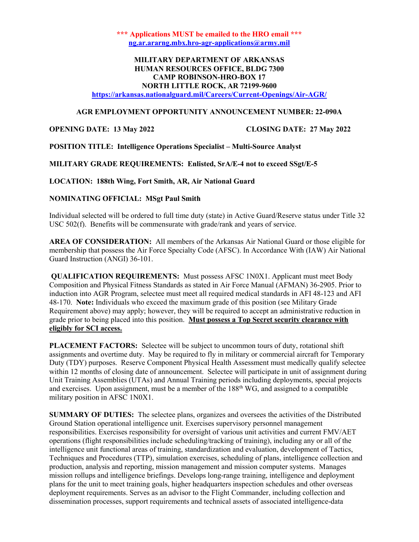\*\*\* Applications MUST be emailed to the HRO email \*\*\* ng.ar.ararng.mbx.hro-agr-applications@army.mil

# MILITARY DEPARTMENT OF ARKANSAS HUMAN RESOURCES OFFICE, BLDG 7300 CAMP ROBINSON-HRO-BOX 17 NORTH LITTLE ROCK, AR 72199-9600

https://arkansas.nationalguard.mil/Careers/Current-Openings/Air-AGR/

#### AGR EMPLOYMENT OPPORTUNITY ANNOUNCEMENT NUMBER: 22-090A

OPENING DATE: 13 May 2022 CLOSING DATE: 27 May 2022

POSITION TITLE: Intelligence Operations Specialist – Multi-Source Analyst

MILITARY GRADE REQUIREMENTS: Enlisted, SrA/E-4 not to exceed SSgt/E-5

LOCATION: 188th Wing, Fort Smith, AR, Air National Guard

### NOMINATING OFFICIAL: MSgt Paul Smith

Individual selected will be ordered to full time duty (state) in Active Guard/Reserve status under Title 32 USC 502(f). Benefits will be commensurate with grade/rank and years of service.

AREA OF CONSIDERATION: All members of the Arkansas Air National Guard or those eligible for membership that possess the Air Force Specialty Code (AFSC). In Accordance With (IAW) Air National Guard Instruction (ANGI) 36-101.

QUALIFICATION REQUIREMENTS: Must possess AFSC 1N0X1. Applicant must meet Body Composition and Physical Fitness Standards as stated in Air Force Manual (AFMAN) 36-2905. Prior to induction into AGR Program, selectee must meet all required medical standards in AFI 48-123 and AFI 48-170. Note: Individuals who exceed the maximum grade of this position (see Military Grade Requirement above) may apply; however, they will be required to accept an administrative reduction in grade prior to being placed into this position. Must possess a Top Secret security clearance with eligibly for SCI access.

PLACEMENT FACTORS: Selectee will be subject to uncommon tours of duty, rotational shift assignments and overtime duty. May be required to fly in military or commercial aircraft for Temporary Duty (TDY) purposes. Reserve Component Physical Health Assessment must medically qualify selectee within 12 months of closing date of announcement. Selectee will participate in unit of assignment during Unit Training Assemblies (UTAs) and Annual Training periods including deployments, special projects and exercises. Upon assignment, must be a member of the 188th WG, and assigned to a compatible military position in AFSC 1N0X1.

SUMMARY OF DUTIES: The selectee plans, organizes and oversees the activities of the Distributed Ground Station operational intelligence unit. Exercises supervisory personnel management responsibilities. Exercises responsibility for oversight of various unit activities and current FMV/AET operations (flight responsibilities include scheduling/tracking of training), including any or all of the intelligence unit functional areas of training, standardization and evaluation, development of Tactics, Techniques and Procedures (TTP), simulation exercises, scheduling of plans, intelligence collection and production, analysis and reporting, mission management and mission computer systems. Manages mission rollups and intelligence briefings. Develops long-range training, intelligence and deployment plans for the unit to meet training goals, higher headquarters inspection schedules and other overseas deployment requirements. Serves as an advisor to the Flight Commander, including collection and dissemination processes, support requirements and technical assets of associated intelligence-data